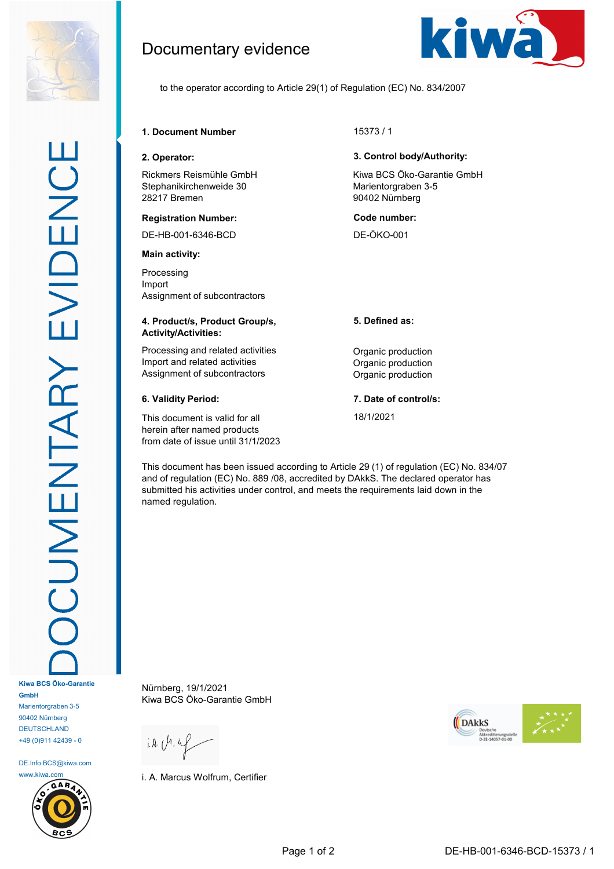

+49 (0)911 42439 - 0 DE.Info.BCS@kiwa.com

DEUTSCHLAND



Documentary evidence



to the operator according to Article 29(1) of Regulation (EC) No. 834/2007

## **1. Document Number** 15373 / 1

Rickmers Reismühle GmbH Stephanikirchenweide 30 28217 Bremen

#### **Registration Number: Code number:**

DE-HB-001-6346-BCD DE-ÖKO-001

#### **Main activity:**

Processing Import Assignment of subcontractors

#### **4. Product/s, Product Group/s, Activity/Activities:**

Processing and related activities **Construction** Organic production Import and related activities **Import** and related activities Assignment of subcontractors **Contractors** Organic production

This document is valid for all herein after named products from date of issue until 31/1/2023

### **2. Operator: 3. Control body/Authority:**

Kiwa BCS Öko-Garantie GmbH Marientorgraben 3-5 90402 Nürnberg

## **5. Defined as:**

## **6. Validity Period: 7. Date of control/s:**

18/1/2021

This document has been issued according to Article 29 (1) of regulation (EC) No. 834/07 and of regulation (EC) No. 889 /08, accredited by DAkkS. The declared operator has submitted his activities under control, and meets the requirements laid down in the named regulation.

Nürnberg, 19/1/2021 Kiwa BCS Öko-Garantie GmbH

 $i.A.$   $(h.4)$ 

i. A. Marcus Wolfrum, Certifier